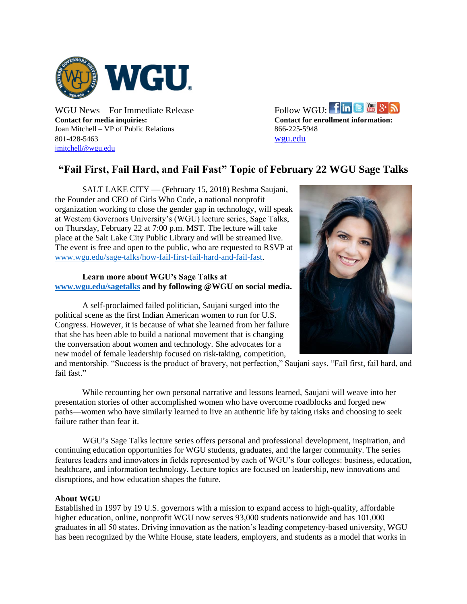

**Contact for media inquiries: Contact for enrollment information:** Joan Mitchell – VP of Public Relations 866-225-5948 801-428-5463 [wgu.edu](http://www.wgu.edu/) [jmitchell@wgu.edu](mailto:jmitchell@wgu.edu)

WGU News – For Immediate Release Follow WGU:  $\lim_{x \to \infty}$   $S(\mathbf{S})$ 

## **"Fail First, Fail Hard, and Fail Fast" Topic of February 22 WGU Sage Talks**

SALT LAKE CITY — (February 15, 2018) Reshma Saujani, the Founder and CEO of Girls Who Code, a national nonprofit organization working to close the gender gap in technology, will speak at Western Governors University's (WGU) lecture series, Sage Talks, on Thursday, February 22 at 7:00 p.m. MST. The lecture will take place at the Salt Lake City Public Library and will be streamed live. The event is free and open to the public, who are requested to RSVP at [www.wgu.edu/sage-talks/how-fail-first-fail-hard-and-fail-fast.](https://www.wgu.edu/sage-talks/how-fail-first-fail-hard-and-fail-fast)

## **Learn more about WGU's Sage Talks at [www.wgu.edu/sagetalks](http://www.wgu.edu/sagetalks) and by following @WGU on social media.**

A self-proclaimed failed politician, Saujani surged into the political scene as the first Indian American women to run for U.S. Congress. However, it is because of what she learned from her failure that she has been able to build a national movement that is changing the conversation about women and technology. She advocates for a new model of female leadership focused on risk-taking, competition,



and mentorship. "Success is the product of bravery, not perfection," Saujani says. "Fail first, fail hard, and fail fast."

While recounting her own personal narrative and lessons learned, Saujani will weave into her presentation stories of other accomplished women who have overcome roadblocks and forged new paths—women who have similarly learned to live an authentic life by taking risks and choosing to seek failure rather than fear it.

WGU's Sage Talks lecture series offers personal and professional development, inspiration, and continuing education opportunities for WGU students, graduates, and the larger community. The series features leaders and innovators in fields represented by each of WGU's four colleges: business, education, healthcare, and information technology. Lecture topics are focused on leadership, new innovations and disruptions, and how education shapes the future.

## **About WGU**

Established in 1997 by 19 U.S. governors with a mission to expand access to high-quality, affordable higher education, online, nonprofit WGU now serves 93,000 students nationwide and has 101,000 graduates in all 50 states. Driving innovation as the nation's leading competency-based university, WGU has been recognized by the White House, state leaders, employers, and students as a model that works in